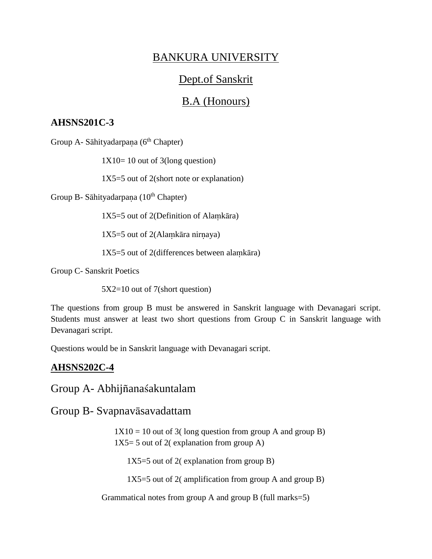# BANKURA UNIVERSITY

## Dept.of Sanskrit

### B.A (Honours)

#### **AHSNS201C-3**

Group A- Sāhityadarpana (6<sup>th</sup> Chapter)

 $1X10=10$  out of 3(long question)

1X5=5 out of 2(short note or explanation)

Group B- Sāhityadarpana (10<sup>th</sup> Chapter)

 $1X5=5$  out of 2(Definition of Alamkara)

 $1X5=5$  out of 2(Alamkāra nirnaya)

 $1X5=5$  out of 2(differences between alamkara)

Group C- Sanskrit Poetics

5X2=10 out of 7(short question)

The questions from group B must be answered in Sanskrit language with Devanagari script. Students must answer at least two short questions from Group C in Sanskrit language with Devanagari script.

Questions would be in Sanskrit language with Devanagari script.

### **AHSNS202C-4**

Group A- Abhijñanaśakuntalam

Group B- Svapnavāsavadattam

 $1X10 = 10$  out of 3(long question from group A and group B)  $1X5=5$  out of 2( explanation from group A)

1X5=5 out of 2( explanation from group B)

 $1X5=5$  out of 2( amplification from group A and group B)

Grammatical notes from group A and group B (full marks=5)